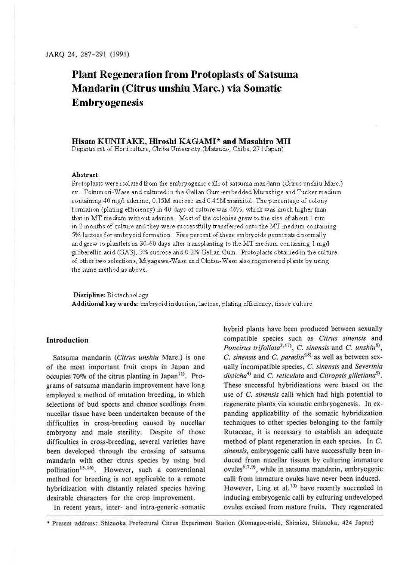# **Plant Regeneration from Protoplasts of Satsuma Mandarin (Citrus unshiu Marc.) via Somatic Embryogenesis**

**Hisato KUNITAKE, Hiroshi KAGAMI\* and Masahiro Mil** 

Department of Horticulture, Chiba University (Matsudo, Chiba, 271 Japan)

#### **Abstract**

Protoplasts were isolated from the embryogenic calli of satsuma mandarin (Citrus unshiu Marc.) cv. Tokumori-Wase and cultured in the Gellan Gum-embeddedMurashige and Tucker medium containing 40 mg/I adenine, 0.15M sucrose and 0.45Mmannitol. The percentage of colony formation (plating efficiency) in 40 days of culture was 46%, which was much higher than that in MT medium without adenine. Most of the colonies grew to the size of about 1 mm in 2 months of culture and they were successfully transferred onto the MT medium containing 5% lactose for embryoid formation. Five percent of these embryoids germinated normally and grew to plantlets in 30-60 days after transplanting to the MT medium containing 1 mg/l gibberellic acid (GA3), 3% sucrose and 0.2% Gell an Gum. Protoplasts obtained in the culture of other two selections, Miyagawa-Wase and Okitsu-Wase also regenerated plants by using the same method as above.

**Discipline:** Biotechnology **Additional keywords:** embryoidinduction, lactose, plating efficiency, tissue culture

## **Introduction**

Satsuma mandarin *(Citrus unshiu* Marc.) is one of the most important fruit crops in Japan and occupies  $70\%$  of the citrus planting in Japan<sup>11)</sup>. Programs of satsuma mandarin improvement have long employed a method of mutation breeding, in which selections of bud sports and chance seedlings from nucellar tissue have been undertaken because of the difficulties in cross-breeding caused by nucellar embryony and male sterility. Despite of those difficulties in cross-breeding, several varieties have been developed through the crossing of satsuma mandarin with other citrus species by using bud pollination<sup>15,16</sup>). However, such a conventional method for breeding is not applicable to a remote hybridization with distantly related species having desirable characters for the crop improvement.

In recent years, inter- and intra-generic somatic

hybrid plants have been produced between sexually compatible species such as *Citrus sinensis* and Poncirus trifoliata<sup>3,17)</sup>, C. sinensis and C. unshiu<sup>8)</sup>, C. *sinensis* and C. *paradisi*18' as well as between sexually incompatible species, C. *sinensis* and *Severinia*  disticha<sup>4)</sup> and C. reticulata and Citropsis gilletiana<sup>5)</sup>. These successful hybridizations were based on the use of C. *sinensis* calli which had high potential to regenerate plants via somatic embryogenesis. In expanding applicability of the somatic hybridization techniques to other species belonging to the family Rutaceae, it is necessary to establish an adequate method of plant regeneration in each species. In C. *sinensis,* embryogenic calli have successfully been induced from nucellar tissues by culturing immature ovules<sup>6,7,9</sup>, while in satsuma mandarin, embryogenic calli from immature ovules have never been induced. However, Ling et al.<sup>13)</sup> have recently succeeded in inducing embryogenic calli by culturing undeveloped ovules excised from mature fruits. They regenerated

• Present address : Shizuoka Prefectural Citrus Experiment Station (Komagoc-nishi, Shimizu, Shizuoka, 424 Japan)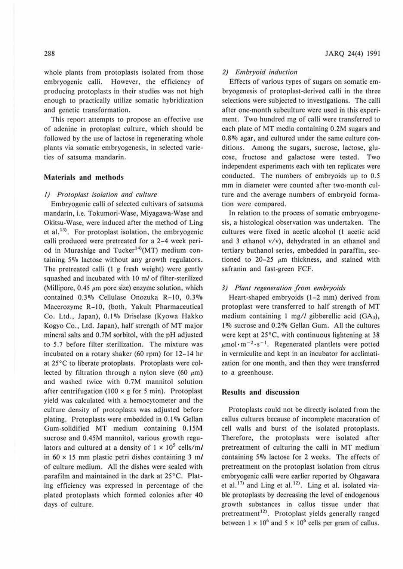whole plants from protoplasts isolated from those embryogenic calli. However, the efficiency **of**  producing prot0plasts in their studies was not high enough to practically utilize somatic hybridization and genetic transformation.

This report attempts to propose an effective use of adenine in protoplast culture, which should be followed by the use of lactose in regenerating whole plants via somatic cmbryogencsis, in selected varieties of satsuma mandarin.

## **Materials and methods**

#### I) Protoplast isolation and culture

Embryogcnic calli of selected cultivars of satsuma mandarin, i.e. Tokumori-Wase, Miyagawa-Wase and Okitsu-Wase, were induced after the method of Ling et al.<sup>13)</sup>. For protoplast isolation, the embryogenic calli produced were pretreated for a 2-4 week period in Murashige and Tucker<sup>14)</sup>(MT) medium containing 50/o lactose without any growth regulators. The pretreated calli (1 g fresh weight) were gently squashed and incubated with 10 *ml* of filter-sterilized (Millipore,  $0.45 \mu m$  pore size) enzyme solution, which contained 0.3% Cellulase Onozuka R-10, 0.3% Macerozyme R-10, (both, Yakult Pharmaceutical Co. Ltd., Japan), 0.1% Driselase (Kyowa Hakko Kogyo Co., Ltd. Japan), half strength of MT major mineral salts and 0.7M sorbitol, with the pH adjusted 10 5.7 before filter sterilization. The mixture was incubated on a rotary shaker (60 rpm) for 12-14 hr at 25°C to liberate protoplasts. Protoplasts were collected by filtration through a nylon sieve (60  $\mu$ m) and washed twice with 0.7M mannitol solution after centrifugation ( $100 \times g$  for 5 min). Protoplast yield was calculated with a hemocytometer and the culture density of protoplasts was adjusted before plating. Protoplasts were embedded in 0. I% Gellan Gum-solidified MT medium containing 0. 15M sucrose and 0.45M mannitol, various growth regulators and cultured at a density of  $1 \times 10^5$  cells/ml in 60 × 15 mm plastic petri dishes containing 3 ml of culture medium. All the dishes were sealed with parafilm and maintained in the dark at  $25^{\circ}$ C. Plating efficiency was expressed in percentage of the plated protoplasts which formed colonies after 40 days of culture.

## 2) Embryoid induction

Effects of various types of sugars on somatic embryogenesis of protoplast-derived calli in the three selections were subjected to investigations. The calli after one-month subculture were used in this experiment. Two hundred mg of calli were transferred to each plate of MT media containing 0.2M sugars and 0.8% agar, and cultured under the same culture conditions. Among the sugars, sucrose, lactose, glucose, fructose and galactose were tested. Two independent experiments each with ten replicates were conducted. The numbers of ernbryoids up to 0.5 mm in diameter were counted after two-month culture and the average numbers of embryoid formation were compared.

In relation to the process of somatic embryogenesis, a histological observation was undertaken. The cultures were fixed in acetic alcohol (1 acetic acid and 3 ethanol v/v), dehydrated in an ethanol and tertiary buthanol series, embedded in paraffin, sectioned to  $20-25 \mu m$  thickness, and stained with safranin and fast-green FCF.

#### 3) Plant regeneration from embryoids

Heart-shaped embryoids (1-2 mm) derived from protoplast were transferred to ha lf strength of **MT**  medium containing I mg// gibberellic acid (GA3), 1% sucrose and 0.2% Gellan Gum. All the cultures were kept at 25°C, with continuous lightening at 38  $\mu$ mol·m<sup>-2</sup>·s<sup>-1</sup>. Regenerated plantlets were potted in vermiculite and kept in an incubator for acclimatization for one month, and then they were transferred to a greenhouse.

#### **Results and discussion**

Protoplasts could not be directly isolated from the callus cultures because of incomplete maceration of cell walls and burst of the isolated protoplasts. Therefore, the protoplasts were isolated after pretreatment of culturing the calli in MT medium containing *5%* lactose for 2 weeks. The effects of pretreatment on the protoplast isolation from citrus embryogenic calli were earlier reported by Ohgawara et al.<sup>17)</sup> and Ling et al.<sup>12)</sup>. Ling et al. isolated viable protoplasts by decreasing the level of endogenous growth substances in callus tissue under that pretreatment<sup>12)</sup>. Protoplast yields generally ranged between  $1 \times 10^6$  and  $5 \times 10^6$  cells per gram of callus.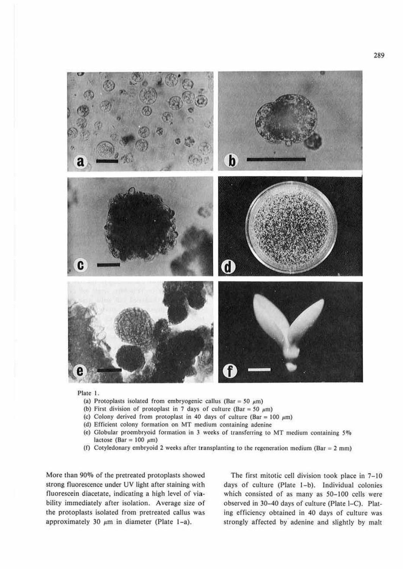

## Plate l.

- (a) Protoplasts isolated from embryogenic callus (Bar =  $50 \mu m$ )
- (b) First division of protoplast in 7 days of culture (Bar = 50  $\mu$ m)
- (c) Colony derived from protoplast in 40 days of culture (Bar = 100  $\mu$ m)
- {d) Efficient colony formation on MT medium containing adenine
- (e) Globular proembryoid formation in 3 weeks of transferring to MT medium containing *5%*  lactose (Bar = 100  $\mu$ m)
- (f) Cotyledonary embryoid 2 weeks after transplanting to the regeneration medium (Bar =  $2 \text{ mm}$ )

More than 90% of the pretreated protoplasts showed strong fluorescence under UV light after staining with fluorescein diacetate, indicating a high level of viability immediately after isolation. Average size of the protoplasts isolated from pretreated callus was approximately 30  $\mu$ m in diameter (Plate 1-a).

The first mitotic cell division took place in 7-10 days of culture (Plate 1-b). Individual colonies which consisted of as many as 50-100 cells were observed in 30-40 days of culture (Plate 1-C). Plating efficiency obtained in 40 days of culture was strongly affected by adenine and slightly by mall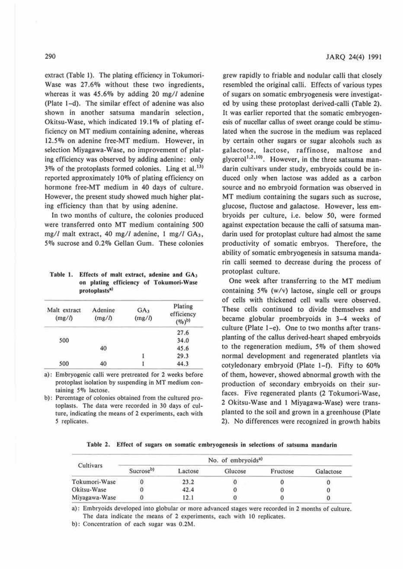### 290

extract (Table 1). The plating efficiency in Tokumori-Wase was 27.6% without these two ingredients, whereas it was 45.6% by adding 20 mg/l adenine (Plate 1-d). The similar effect of adenine was also shown in another satsuma mandarin selection, Okitsu-Wase, which indicated 19.1 % of plating efficiency on MT medium containing adenine, whereas 12.5% on adenine free-MT medium. However, in selection Miyagawa-Wase, no improvement of plating efficiency was observed by adding adenine: only  $3\%$  of the protoplasts formed colonies. Ling et al.<sup>13)</sup> reported approximately 10% of plating efficiency on hormone free-MT medium in 40 days of culture. However, the present study showed much higher plating efficiency than that by using adenine.

In two months of culture, the colonies produced were transferred onto MT medium containing 500 mg// malt extract, 40 mg// adenine, I mg// GA3., *5%* sucrose and 0.20/o Gellan Gum. These colonies

Table 1. Effects of malt extract, adenine and GA3 on plating efficiency of Tokumori-Wase protoplasts<sup>a)</sup>

| Malt extract<br>(mg/l) | Adenine<br>(mg/l) | GA <sub>1</sub><br>(mg/l) | Plating<br>efficiency<br>$(9/0)^{b}$ |
|------------------------|-------------------|---------------------------|--------------------------------------|
|                        |                   |                           | 27.6                                 |
| 500                    |                   |                           | 34.0                                 |
|                        | 40                |                           | 45.6                                 |
|                        |                   |                           | 29.3                                 |
| 500                    | 40                |                           | 44.3                                 |

a): Embryogcnic calli were pretreated for 2 weeks before protoplast isolation by suspending in MT medium containing 5% lactose.

b): Percentage of colonies obtained from 1he cultured protoplasts. The data were recorded in 30 days of culture, indicating the means of 2 experiments, each with *5* replicates.

grew rapidly to friable and nodular calli that closely resembled the original calli. Effects of various types of sugars on somatic embryogenesis were investigated by using these protoplast derived-calli (Table 2). It was earlier reported that the somatic embryogenesis of nucellar callus of sweet orange could be stimulated when the sucrose in the medium was replaced by certain other sugars or sugar alcohols such as galactose, lactose, raffinose, maltose and glycerol<sup>1,2,10</sup>. However, in the three satsuma mandarin cultivars under study, embryoids could be induced only when lactose was added as a carbon source and no embryoid formation was observed in MT medium containing the sugars such as sucrose, glucose, fluctose and galactose. However, less embryoids per culture, i.e. below 50, were formed against expectation because the calli of satsuma mandarin used for protoplast culture had almost the same productivity of somatic embryos. Therefore, the ability of somatic embryogenesis in satsuma mandarin calli seemed to decrease during the process of protoplast culture.

One week after transferring to the **MT** medium containing 5% (w/v) lactose, single cell or groups of cells with thickened cell walls were observed. These cells continued to divide themselves and became globular proembryoids in 3-4 weeks of culture (Plate 1-e). One to two months after transplanting of the callus derived-heart shaped embryoids to the regeneration medium, 5% of them showed normal development and regenerated plantlets via cotyledonary embryoid (Plate 1-f). Fifty to 60% of them, however, showed abnormal growth with the production of secondary embryoids on their surfaces. Five regenerated plants (2 Tokumori-Wase, 2 Okitsu-Wase and I Miyagawa-Wase) were transplanted to the soil and grown in a greenhouse (Plate 2). No differences were recognized in growth habits

Table 2. Effect of sugars on somatic embryogenesis in selections of satsuma mandarin

| Cultivars     | No. of embryoids <sup>a)</sup> |         |         |          |           |  |
|---------------|--------------------------------|---------|---------|----------|-----------|--|
|               | Sucrose <sup>b)</sup>          | Lactose | Glucose | Fructose | Galactose |  |
| Tokumori-Wase |                                | 23.2    |         |          |           |  |
| Okitsu-Wase   |                                | 42.4    |         |          |           |  |
| Miyagawa-Wase |                                | 12.1    |         |          |           |  |

a): Embryoids developed into globular or more advanced stages were recorded in 2 months of culture. The data indicate the means of 2 experiments, each with 10 replicates.

b): Concentration of each sugar was 0.2M.